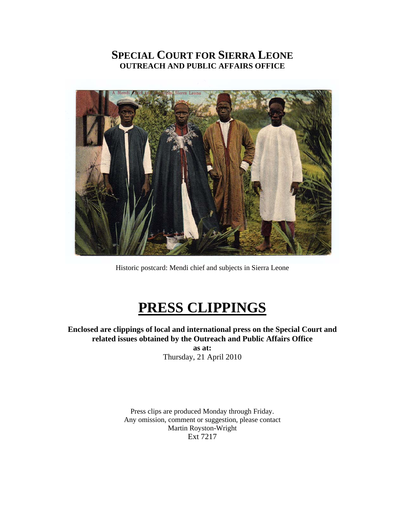# **SPECIAL COURT FOR SIERRA LEONE OUTREACH AND PUBLIC AFFAIRS OFFICE**



Historic postcard: Mendi chief and subjects in Sierra Leone

# **PRESS CLIPPINGS**

**Enclosed are clippings of local and international press on the Special Court and related issues obtained by the Outreach and Public Affairs Office** 

**as at:**  Thursday, 21 April 2010

Press clips are produced Monday through Friday. Any omission, comment or suggestion, please contact Martin Royston-Wright Ext 7217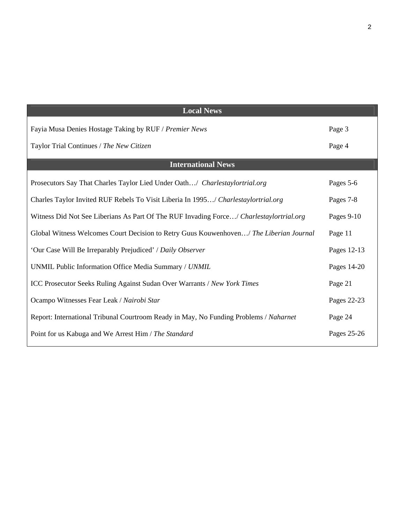| <b>Local News</b>                                                                       |             |
|-----------------------------------------------------------------------------------------|-------------|
| Fayia Musa Denies Hostage Taking by RUF / Premier News                                  | Page 3      |
| Taylor Trial Continues / The New Citizen                                                | Page 4      |
| <b>International News</b>                                                               |             |
| Prosecutors Say That Charles Taylor Lied Under Oath/ Charlestaylortrial.org             | Pages 5-6   |
| Charles Taylor Invited RUF Rebels To Visit Liberia In 1995/ Charlestaylortrial.org      | Pages 7-8   |
| Witness Did Not See Liberians As Part Of The RUF Invading Force/ Charlestaylortrial.org | Pages 9-10  |
| Global Witness Welcomes Court Decision to Retry Guus Kouwenhoven/ The Liberian Journal  | Page 11     |
| 'Our Case Will Be Irreparably Prejudiced' / Daily Observer                              | Pages 12-13 |
| UNMIL Public Information Office Media Summary / UNMIL                                   | Pages 14-20 |
| ICC Prosecutor Seeks Ruling Against Sudan Over Warrants / New York Times                | Page 21     |
| Ocampo Witnesses Fear Leak / Nairobi Star                                               | Pages 22-23 |
| Report: International Tribunal Courtroom Ready in May, No Funding Problems / Naharnet   | Page 24     |
| Point for us Kabuga and We Arrest Him / The Standard                                    | Pages 25-26 |

2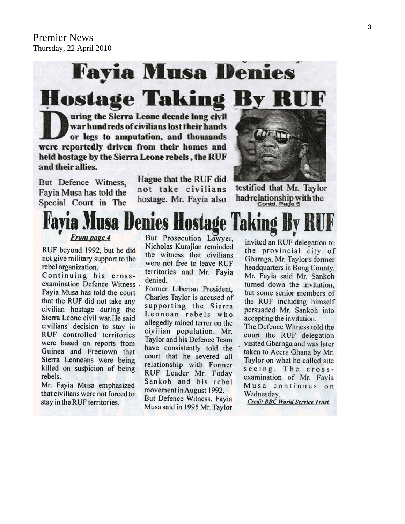# **Fayia Musa Denies Hostage Taking By RI**

uring the Sierra Leone decade long civil war hundreds of civilians lost their hands or legs to amputation, and thousands were reportedly driven from their homes and held hostage by the Sierra Leone rebels, the RUF and their allies.

But Defence Witness, Fayia Musa has told the Special Court in The

Hague that the RUF did not take civilians hostage. Mr. Fayia also



testified that Mr. Taylor had-relationship with the Contd. Page 6

# lusa Denies Hostage

**From page 4** 

RUF beyond 1992, but he did not give military support to the rebel organization.

Continuing his crossexamination Defence Witness Fayia Musa has told the court that the RUF did not take any civilian hostage during the Sierra Leone civil war. He said civilians' decision to stay in RUF controlled territories were based on reports from Guinea and Freetown that Sierra Leoneans were being killed on suspicion of being rebels.

Mr. Fayia Musa emphasized that civilians were not forced to stay in the RUF territories.

But Prosecution Lawver. Nicholas Kumjian reminded the witness that civilians were not free to leave RUF territories and Mr. Fayia denied.

Former Liberian President. Charles Taylor is accused of supporting the Sierra Leonean rebels who allegedly rained terror on the civilian population. Mr. Taylor and his Defence Team have consistently told the court that he severed all relationship with Former RUF Leader Mr. Foday Sankoh and his rebel movement in August 1992. But Defence Witness, Fayia Musa said in 1995 Mr. Taylor

invited an RUF delegation to the provincial city of Gbarnga, Mr. Taylor's former headquarters in Bong County. Mr. Fayia said Mr. Sankoh turned down the invitation, but some senior members of the RUF including himself persuaded Mr. Sankoh into accepting the invitation.

The Defence Witness told the court the RUF delegation visited Gbarnga and was later taken to Accra Ghana by Mr. Taylor on what he called site seeing. The crossexamination of Mr. Fayia Musa continues on Wednesday.

**Credit BBC World Service Trust.**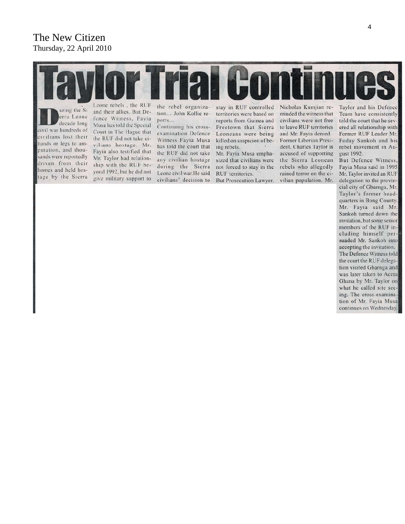# The New Citizen Thursday, 22 April 2010



But Defence Witness, Fayia Musa said in 1995 Mr. Taylor invited an RUF delegation to the provincial city of Gbarnga, Mr. Taylor's former headquarters in Bong County. Mr. Fayia said Mr. Sankoh turned down the invitation, but some senior members of the RUF including himself persuaded Mr. Sankoh into accepting the invitation. The Defence Witness told the court the RUF delegation visited Gbarnga and was later taken to Accra Ghana by Mr. Taylor on what he called site seeing. The cross-examination of Mr. Fayia Musa continues on Wednesday.

gust 1992.

putation, and thousands were reportedly driven from their homes and held hosyond 1992, but he did not tage by the Sierra give military support to

Fayia also testified that Mr. Taylor had relationship with the RUF be-

has told the court that the RUF did not take any civilian hostage during the Sierra Leone civil war. He said civilians' decision to

Mr. Fayia Musa emphasized that civilians were not forced to stay in the RUF territories. But Prosecution Lawyer, dent, Charles Taylor is accused of supporting the Sierra Leonean rebels who allegedly rained terror on the ci-

vilian population. Mr.

4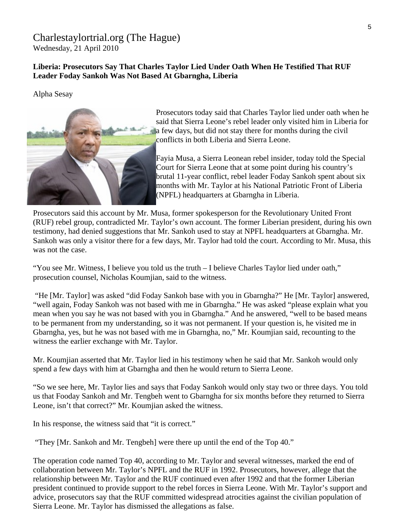# [Charlestaylortrial.org](http://www.charlestaylortrial.org/about/) (The Hague)

Wednesday, 21 April 2010

# **[Liberia:](http://allafrica.com/liberia/) Prosecutors Say That Charles Taylor Lied Under Oath When He Testified That RUF Leader Foday Sankoh Was Not Based At Gbarngha, Liberia**

Alpha Sesay



Prosecutors today said that Charles Taylor lied under oath when he said that Sierra Leone's rebel leader only visited him in Liberia for a few days, but did not stay there for months during the civil conflicts in both Liberia and Sierra Leone.

Fayia Musa, a Sierra Leonean rebel insider, today told the Special Court for Sierra Leone that at some point during his country's brutal 11-year conflict, rebel leader Foday Sankoh spent about six months with Mr. Taylor at his National Patriotic Front of Liberia (NPFL) headquarters at Gbarngha in Liberia.

Prosecutors said this account by Mr. Musa, former spokesperson for the Revolutionary United Front (RUF) rebel group, contradicted Mr. Taylor's own account. The former Liberian president, during his own testimony, had denied suggestions that Mr. Sankoh used to stay at NPFL headquarters at Gbarngha. Mr. Sankoh was only a visitor there for a few days, Mr. Taylor had told the court. According to Mr. Musa, this was not the case.

"You see Mr. Witness, I believe you told us the truth – I believe Charles Taylor lied under oath," prosecution counsel, Nicholas Koumjian, said to the witness.

 "He [Mr. Taylor] was asked "did Foday Sankoh base with you in Gbarngha?" He [Mr. Taylor] answered, "well again, Foday Sankoh was not based with me in Gbarngha." He was asked "please explain what you mean when you say he was not based with you in Gbarngha." And he answered, "well to be based means to be permanent from my understanding, so it was not permanent. If your question is, he visited me in Gbarngha, yes, but he was not based with me in Gbarngha, no," Mr. Koumjian said, recounting to the witness the earlier exchange with Mr. Taylor.

Mr. Koumjian asserted that Mr. Taylor lied in his testimony when he said that Mr. Sankoh would only spend a few days with him at Gbarngha and then he would return to Sierra Leone.

"So we see here, Mr. Taylor lies and says that Foday Sankoh would only stay two or three days. You told us that Fooday Sankoh and Mr. Tengbeh went to Gbarngha for six months before they returned to Sierra Leone, isn't that correct?" Mr. Koumjian asked the witness.

In his response, the witness said that "it is correct."

"They [Mr. Sankoh and Mr. Tengbeh] were there up until the end of the Top 40."

The operation code named Top 40, according to Mr. Taylor and several witnesses, marked the end of collaboration between Mr. Taylor's NPFL and the RUF in 1992. Prosecutors, however, allege that the relationship between Mr. Taylor and the RUF continued even after 1992 and that the former Liberian president continued to provide support to the rebel forces in Sierra Leone. With Mr. Taylor's support and advice, prosecutors say that the RUF committed widespread atrocities against the civilian population of Sierra Leone. Mr. Taylor has dismissed the allegations as false.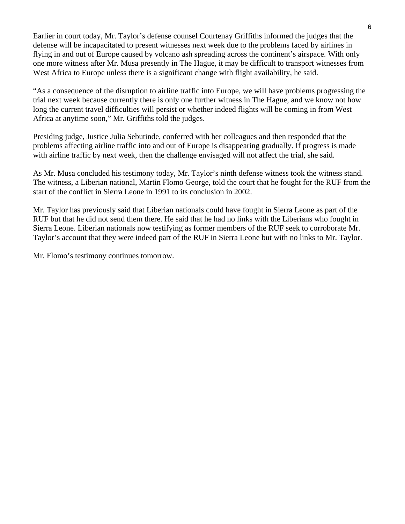Earlier in court today, Mr. Taylor's defense counsel Courtenay Griffiths informed the judges that the defense will be incapacitated to present witnesses next week due to the problems faced by airlines in flying in and out of Europe caused by volcano ash spreading across the continent's airspace. With only one more witness after Mr. Musa presently in The Hague, it may be difficult to transport witnesses from West Africa to Europe unless there is a significant change with flight availability, he said.

"As a consequence of the disruption to airline traffic into Europe, we will have problems progressing the trial next week because currently there is only one further witness in The Hague, and we know not how long the current travel difficulties will persist or whether indeed flights will be coming in from West Africa at anytime soon," Mr. Griffiths told the judges.

Presiding judge, Justice Julia Sebutinde, conferred with her colleagues and then responded that the problems affecting airline traffic into and out of Europe is disappearing gradually. If progress is made with airline traffic by next week, then the challenge envisaged will not affect the trial, she said.

As Mr. Musa concluded his testimony today, Mr. Taylor's ninth defense witness took the witness stand. The witness, a Liberian national, Martin Flomo George, told the court that he fought for the RUF from the start of the conflict in Sierra Leone in 1991 to its conclusion in 2002.

Mr. Taylor has previously said that Liberian nationals could have fought in Sierra Leone as part of the RUF but that he did not send them there. He said that he had no links with the Liberians who fought in Sierra Leone. Liberian nationals now testifying as former members of the RUF seek to corroborate Mr. Taylor's account that they were indeed part of the RUF in Sierra Leone but with no links to Mr. Taylor.

Mr. Flomo's testimony continues tomorrow.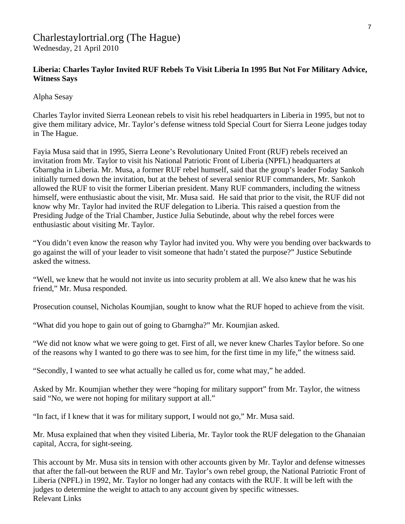# Charlestaylortrial.org (The Hague) Wednesday, 21 April 2010

# **Liberia: Charles Taylor Invited RUF Rebels To Visit Liberia In 1995 But Not For Military Advice, Witness Says**

Alpha Sesay

Charles Taylor invited Sierra Leonean rebels to visit his rebel headquarters in Liberia in 1995, but not to give them military advice, Mr. Taylor's defense witness told Special Court for Sierra Leone judges today in The Hague.

Fayia Musa said that in 1995, Sierra Leone's Revolutionary United Front (RUF) rebels received an invitation from Mr. Taylor to visit his National Patriotic Front of Liberia (NPFL) headquarters at Gbarngha in Liberia. Mr. Musa, a former RUF rebel humself, said that the group's leader Foday Sankoh initially turned down the invitation, but at the behest of several senior RUF commanders, Mr. Sankoh allowed the RUF to visit the former Liberian president. Many RUF commanders, including the witness himself, were enthusiastic about the visit, Mr. Musa said. He said that prior to the visit, the RUF did not know why Mr. Taylor had invited the RUF delegation to Liberia. This raised a question from the Presiding Judge of the Trial Chamber, Justice Julia Sebutinde, about why the rebel forces were enthusiastic about visiting Mr. Taylor.

"You didn't even know the reason why Taylor had invited you. Why were you bending over backwards to go against the will of your leader to visit someone that hadn't stated the purpose?" Justice Sebutinde asked the witness.

"Well, we knew that he would not invite us into security problem at all. We also knew that he was his friend," Mr. Musa responded.

Prosecution counsel, Nicholas Koumjian, sought to know what the RUF hoped to achieve from the visit.

"What did you hope to gain out of going to Gbarngha?" Mr. Koumjian asked.

"We did not know what we were going to get. First of all, we never knew Charles Taylor before. So one of the reasons why I wanted to go there was to see him, for the first time in my life," the witness said.

"Secondly, I wanted to see what actually he called us for, come what may," he added.

Asked by Mr. Koumjian whether they were "hoping for military support" from Mr. Taylor, the witness said "No, we were not hoping for military support at all."

"In fact, if I knew that it was for military support, I would not go," Mr. Musa said.

Mr. Musa explained that when they visited Liberia, Mr. Taylor took the RUF delegation to the Ghanaian capital, Accra, for sight-seeing.

This account by Mr. Musa sits in tension with other accounts given by Mr. Taylor and defense witnesses that after the fall-out between the RUF and Mr. Taylor's own rebel group, the National Patriotic Front of Liberia (NPFL) in 1992, Mr. Taylor no longer had any contacts with the RUF. It will be left with the judges to determine the weight to attach to any account given by specific witnesses. Relevant Links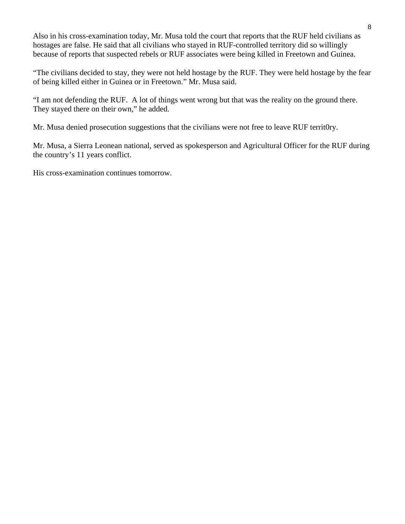Also in his cross-examination today, Mr. Musa told the court that reports that the RUF held civilians as hostages are false. He said that all civilians who stayed in RUF-controlled territory did so willingly because of reports that suspected rebels or RUF associates were being killed in Freetown and Guinea.

"The civilians decided to stay, they were not held hostage by the RUF. They were held hostage by the fear of being killed either in Guinea or in Freetown." Mr. Musa said.

"I am not defending the RUF. A lot of things went wrong but that was the reality on the ground there. They stayed there on their own," he added.

Mr. Musa denied prosecution suggestions that the civilians were not free to leave RUF territ0ry.

Mr. Musa, a Sierra Leonean national, served as spokesperson and Agricultural Officer for the RUF during the country's 11 years conflict.

His cross-examination continues tomorrow.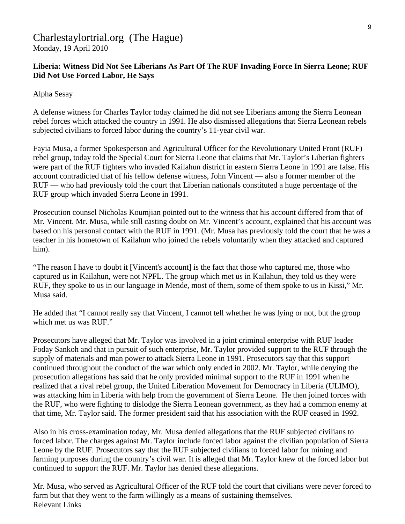# Charlestaylortrial.org (The Hague) Monday, 19 April 2010

# **Liberia: Witness Did Not See Liberians As Part Of The RUF Invading Force In Sierra Leone; RUF Did Not Use Forced Labor, He Says**

Alpha Sesay

A defense witness for Charles Taylor today claimed he did not see Liberians among the Sierra Leonean rebel forces which attacked the country in 1991. He also dismissed allegations that Sierra Leonean rebels subjected civilians to forced labor during the country's 11-year civil war.

Fayia Musa, a former Spokesperson and Agricultural Officer for the Revolutionary United Front (RUF) rebel group, today told the Special Court for Sierra Leone that claims that Mr. Taylor's Liberian fighters were part of the RUF fighters who invaded Kailahun district in eastern Sierra Leone in 1991 are false. His account contradicted that of his fellow defense witness, John Vincent — also a former member of the RUF — who had previously told the court that Liberian nationals constituted a huge percentage of the RUF group which invaded Sierra Leone in 1991.

Prosecution counsel Nicholas Koumjian pointed out to the witness that his account differed from that of Mr. Vincent. Mr. Musa, while still casting doubt on Mr. Vincent's account, explained that his account was based on his personal contact with the RUF in 1991. (Mr. Musa has previously told the court that he was a teacher in his hometown of Kailahun who joined the rebels voluntarily when they attacked and captured him).

"The reason I have to doubt it [Vincent's account] is the fact that those who captured me, those who captured us in Kailahun, were not NPFL. The group which met us in Kailahun, they told us they were RUF, they spoke to us in our language in Mende, most of them, some of them spoke to us in Kissi," Mr. Musa said.

He added that "I cannot really say that Vincent, I cannot tell whether he was lying or not, but the group which met us was RUF."

Prosecutors have alleged that Mr. Taylor was involved in a joint criminal enterprise with RUF leader Foday Sankoh and that in pursuit of such enterprise, Mr. Taylor provided support to the RUF through the supply of materials and man power to attack Sierra Leone in 1991. Prosecutors say that this support continued throughout the conduct of the war which only ended in 2002. Mr. Taylor, while denying the prosecution allegations has said that he only provided minimal support to the RUF in 1991 when he realized that a rival rebel group, the United Liberation Movement for Democracy in Liberia (ULIMO), was attacking him in Liberia with help from the government of Sierra Leone. He then joined forces with the RUF, who were fighting to dislodge the Sierra Leonean government, as they had a common enemy at that time, Mr. Taylor said. The former president said that his association with the RUF ceased in 1992.

Also in his cross-examination today, Mr. Musa denied allegations that the RUF subjected civilians to forced labor. The charges against Mr. Taylor include forced labor against the civilian population of Sierra Leone by the RUF. Prosecutors say that the RUF subjected civilians to forced labor for mining and farming purposes during the country's civil war. It is alleged that Mr. Taylor knew of the forced labor but continued to support the RUF. Mr. Taylor has denied these allegations.

Mr. Musa, who served as Agricultural Officer of the RUF told the court that civilians were never forced to farm but that they went to the farm willingly as a means of sustaining themselves. Relevant Links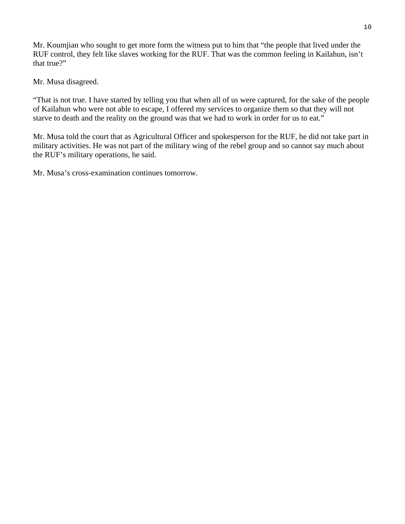Mr. Koumjian who sought to get more form the witness put to him that "the people that lived under the RUF control, they felt like slaves working for the RUF. That was the common feeling in Kailahun, isn't that true?"

Mr. Musa disagreed.

"That is not true. I have started by telling you that when all of us were captured, for the sake of the people of Kailahun who were not able to escape, I offered my services to organize them so that they will not starve to death and the reality on the ground was that we had to work in order for us to eat."

Mr. Musa told the court that as Agricultural Officer and spokesperson for the RUF, he did not take part in military activities. He was not part of the military wing of the rebel group and so cannot say much about the RUF's military operations, he said.

Mr. Musa's cross-examination continues tomorrow.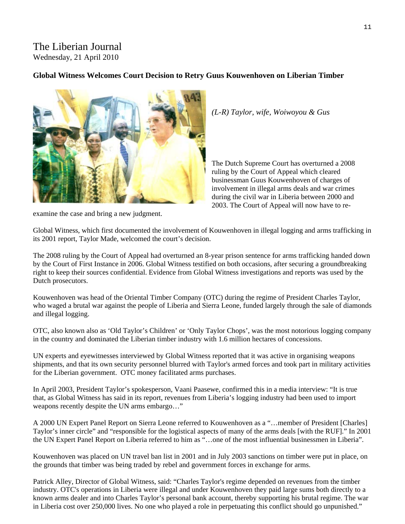# The Liberian Journal Wednesday, 21 April 2010

## **Global Witness Welcomes Court Decision to Retry Guus Kouwenhoven on Liberian Timber**



*(L-R) Taylor, wife, Woiwoyou & Gus* 

The Dutch Supreme Court has overturned a 2008 ruling by the Court of Appeal which cleared businessman Guus Kouwenhoven of charges of involvement in illegal arms deals and war crimes during the civil war in Liberia between 2000 and 2003. The Court of Appeal will now have to re-

examine the case and bring a new judgment.

Global Witness, which first documented the involvement of Kouwenhoven in illegal logging and arms trafficking in its 2001 report, Taylor Made, welcomed the court's decision.

The 2008 ruling by the Court of Appeal had overturned an 8-year prison sentence for arms trafficking handed down by the Court of First Instance in 2006. Global Witness testified on both occasions, after securing a groundbreaking right to keep their sources confidential. Evidence from Global Witness investigations and reports was used by the Dutch prosecutors.

Kouwenhoven was head of the Oriental Timber Company (OTC) during the regime of President Charles Taylor, who waged a brutal war against the people of Liberia and Sierra Leone, funded largely through the sale of diamonds and illegal logging.

OTC, also known also as 'Old Taylor's Children' or 'Only Taylor Chops', was the most notorious logging company in the country and dominated the Liberian timber industry with 1.6 million hectares of concessions.

UN experts and eyewitnesses interviewed by Global Witness reported that it was active in organising weapons shipments, and that its own security personnel blurred with Taylor's armed forces and took part in military activities for the Liberian government. OTC money facilitated arms purchases.

In April 2003, President Taylor's spokesperson, Vaani Paasewe, confirmed this in a media interview: "It is true that, as Global Witness has said in its report, revenues from Liberia's logging industry had been used to import weapons recently despite the UN arms embargo…"

A 2000 UN Expert Panel Report on Sierra Leone referred to Kouwenhoven as a "…member of President [Charles] Taylor's inner circle" and "responsible for the logistical aspects of many of the arms deals [with the RUF]." In 2001 the UN Expert Panel Report on Liberia referred to him as "…one of the most influential businessmen in Liberia".

Kouwenhoven was placed on UN travel ban list in 2001 and in July 2003 sanctions on timber were put in place, on the grounds that timber was being traded by rebel and government forces in exchange for arms.

Patrick Alley, Director of Global Witness, said: "Charles Taylor's regime depended on revenues from the timber industry. OTC's operations in Liberia were illegal and under Kouwenhoven they paid large sums both directly to a known arms dealer and into Charles Taylor's personal bank account, thereby supporting his brutal regime. The war in Liberia cost over 250,000 lives. No one who played a role in perpetuating this conflict should go unpunished."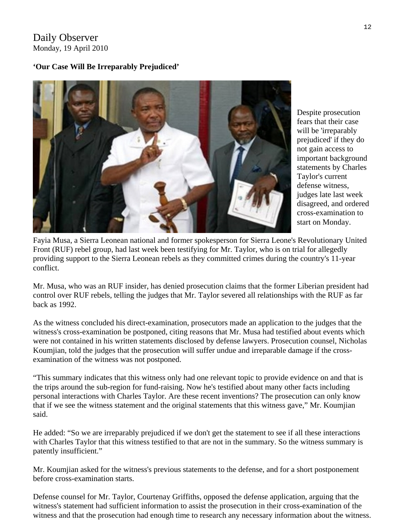# Daily Observer Monday, 19 April 2010

# **'Our Case Will Be Irreparably Prejudiced'**



Despite prosecution fears that their case will be 'irreparably prejudiced' if they do not gain access to important background statements by Charles Taylor's current defense witness, judges late last week disagreed, and ordered cross-examination to start on Monday.

Fayia Musa, a Sierra Leonean national and former spokesperson for Sierra Leone's Revolutionary United Front (RUF) rebel group, had last week been testifying for Mr. Taylor, who is on trial for allegedly providing support to the Sierra Leonean rebels as they committed crimes during the country's 11-year conflict.

Mr. Musa, who was an RUF insider, has denied prosecution claims that the former Liberian president had control over RUF rebels, telling the judges that Mr. Taylor severed all relationships with the RUF as far back as 1992.

As the witness concluded his direct-examination, prosecutors made an application to the judges that the witness's cross-examination be postponed, citing reasons that Mr. Musa had testified about events which were not contained in his written statements disclosed by defense lawyers. Prosecution counsel, Nicholas Koumjian, told the judges that the prosecution will suffer undue and irreparable damage if the crossexamination of the witness was not postponed.

"This summary indicates that this witness only had one relevant topic to provide evidence on and that is the trips around the sub-region for fund-raising. Now he's testified about many other facts including personal interactions with Charles Taylor. Are these recent inventions? The prosecution can only know that if we see the witness statement and the original statements that this witness gave," Mr. Koumjian said.

He added: "So we are irreparably prejudiced if we don't get the statement to see if all these interactions with Charles Taylor that this witness testified to that are not in the summary. So the witness summary is patently insufficient."

Mr. Koumjian asked for the witness's previous statements to the defense, and for a short postponement before cross-examination starts.

Defense counsel for Mr. Taylor, Courtenay Griffiths, opposed the defense application, arguing that the witness's statement had sufficient information to assist the prosecution in their cross-examination of the witness and that the prosecution had enough time to research any necessary information about the witness.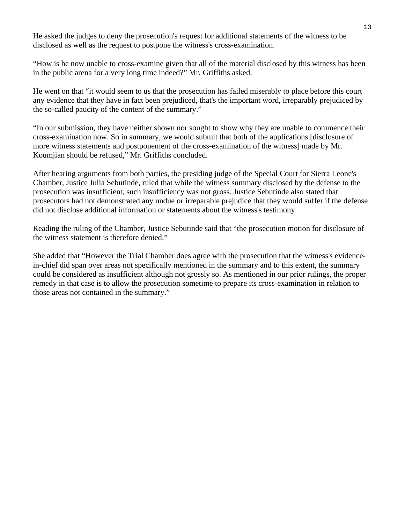He asked the judges to deny the prosecution's request for additional statements of the witness to be disclosed as well as the request to postpone the witness's cross-examination.

"How is he now unable to cross-examine given that all of the material disclosed by this witness has been in the public arena for a very long time indeed?" Mr. Griffiths asked.

He went on that "it would seem to us that the prosecution has failed miserably to place before this court any evidence that they have in fact been prejudiced, that's the important word, irreparably prejudiced by the so-called paucity of the content of the summary."

"In our submission, they have neither shown nor sought to show why they are unable to commence their cross-examination now. So in summary, we would submit that both of the applications [disclosure of more witness statements and postponement of the cross-examination of the witness] made by Mr. Koumjian should be refused," Mr. Griffiths concluded.

After hearing arguments from both parties, the presiding judge of the Special Court for Sierra Leone's Chamber, Justice Julia Sebutinde, ruled that while the witness summary disclosed by the defense to the prosecution was insufficient, such insufficiency was not gross. Justice Sebutinde also stated that prosecutors had not demonstrated any undue or irreparable prejudice that they would suffer if the defense did not disclose additional information or statements about the witness's testimony.

Reading the ruling of the Chamber, Justice Sebutinde said that "the prosecution motion for disclosure of the witness statement is therefore denied."

She added that "However the Trial Chamber does agree with the prosecution that the witness's evidencein-chief did span over areas not specifically mentioned in the summary and to this extent, the summary could be considered as insufficient although not grossly so. As mentioned in our prior rulings, the proper remedy in that case is to allow the prosecution sometime to prepare its cross-examination in relation to those areas not contained in the summary."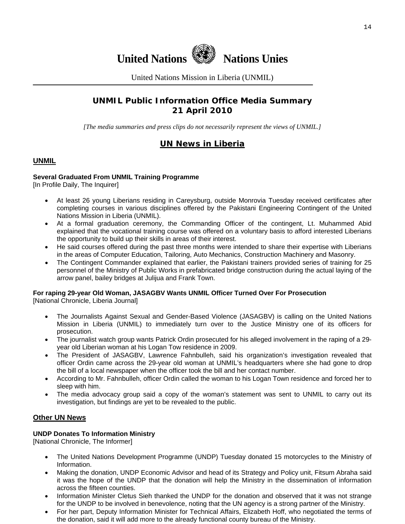

United Nations Mission in Liberia (UNMIL)

# **UNMIL Public Information Office Media Summary 21 April 2010**

*[The media summaries and press clips do not necessarily represent the views of UNMIL.]* 

# **UN News in Liberia**

## **UNMIL**

#### **Several Graduated From UNMIL Training Programme**

[In Profile Daily, The Inquirer]

- At least 26 young Liberians residing in Careysburg, outside Monrovia Tuesday received certificates after completing courses in various disciplines offered by the Pakistani Engineering Contingent of the United Nations Mission in Liberia (UNMIL).
- At a formal graduation ceremony, the Commanding Officer of the contingent, Lt. Muhammed Abid explained that the vocational training course was offered on a voluntary basis to afford interested Liberians the opportunity to build up their skills in areas of their interest.
- He said courses offered during the past three months were intended to share their expertise with Liberians in the areas of Computer Education, Tailoring, Auto Mechanics, Construction Machinery and Masonry.
- The Contingent Commander explained that earlier, the Pakistani trainers provided series of training for 25 personnel of the Ministry of Public Works in prefabricated bridge construction during the actual laying of the arrow panel, bailey bridges at Julijua and Frank Town.

#### **For raping 29-year Old Woman, JASAGBV Wants UNMIL Officer Turned Over For Prosecution**

[National Chronicle, Liberia Journal]

- The Journalists Against Sexual and Gender-Based Violence (JASAGBV) is calling on the United Nations Mission in Liberia (UNMIL) to immediately turn over to the Justice Ministry one of its officers for prosecution.
- The journalist watch group wants Patrick Ordin prosecuted for his alleged involvement in the raping of a 29 year old Liberian woman at his Logan Tow residence in 2009.
- The President of JASAGBV, Lawrence Fahnbulleh, said his organization's investigation revealed that officer Ordin came across the 29-year old woman at UNMIL's headquarters where she had gone to drop the bill of a local newspaper when the officer took the bill and her contact number.
- According to Mr. Fahnbulleh, officer Ordin called the woman to his Logan Town residence and forced her to sleep with him.
- The media advocacy group said a copy of the woman's statement was sent to UNMIL to carry out its investigation, but findings are yet to be revealed to the public.

#### **Other UN News**

#### **UNDP Donates To Information Ministry**

[National Chronicle, The Informer]

- The United Nations Development Programme (UNDP) Tuesday donated 15 motorcycles to the Ministry of Information.
- Making the donation, UNDP Economic Advisor and head of its Strategy and Policy unit, Fitsum Abraha said it was the hope of the UNDP that the donation will help the Ministry in the dissemination of information across the fifteen counties.
- Information Minister Cletus Sieh thanked the UNDP for the donation and observed that it was not strange for the UNDP to be involved in benevolence, noting that the UN agency is a strong partner of the Ministry.
- For her part, Deputy Information Minister for Technical Affairs, Elizabeth Hoff, who negotiated the terms of the donation, said it will add more to the already functional county bureau of the Ministry.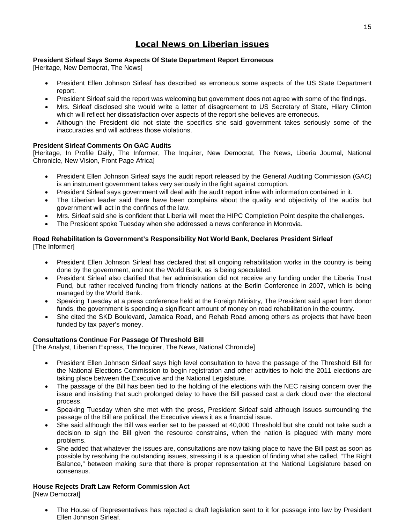# **Local News on Liberian issues**

#### **President Sirleaf Says Some Aspects Of State Department Report Erroneous**

[Heritage, New Democrat, The News]

- President Ellen Johnson Sirleaf has described as erroneous some aspects of the US State Department report.
- President Sirleaf said the report was welcoming but government does not agree with some of the findings.
- Mrs. Sirleaf disclosed she would write a letter of disagreement to US Secretary of State, Hilary Clinton which will reflect her dissatisfaction over aspects of the report she believes are erroneous.
- Although the President did not state the specifics she said government takes seriously some of the inaccuracies and will address those violations.

#### **President Sirleaf Comments On GAC Audits**

[Heritage, In Profile Daily, The Informer, The Inquirer, New Democrat, The News, Liberia Journal, National Chronicle, New Vision, Front Page Africa]

- President Ellen Johnson Sirleaf says the audit report released by the General Auditing Commission (GAC) is an instrument government takes very seriously in the fight against corruption.
- President Sirleaf says government will deal with the audit report inline with information contained in it.
- The Liberian leader said there have been complains about the quality and objectivity of the audits but government will act in the confines of the law.
- Mrs. Sirleaf said she is confident that Liberia will meet the HIPC Completion Point despite the challenges.
- The President spoke Tuesday when she addressed a news conference in Monrovia.

#### **Road Rehabilitation Is Government's Responsibility Not World Bank, Declares President Sirleaf**  [The Informer]

- President Ellen Johnson Sirleaf has declared that all ongoing rehabilitation works in the country is being done by the government, and not the World Bank, as is being speculated.
- President Sirleaf also clarified that her administration did not receive any funding under the Liberia Trust Fund, but rather received funding from friendly nations at the Berlin Conference in 2007, which is being managed by the World Bank.
- Speaking Tuesday at a press conference held at the Foreign Ministry, The President said apart from donor funds, the government is spending a significant amount of money on road rehabilitation in the country.
- She cited the SKD Boulevard, Jamaica Road, and Rehab Road among others as projects that have been funded by tax payer's money.

#### **Consultations Continue For Passage Of Threshold Bill**

[The Analyst, Liberian Express, The Inquirer, The News, National Chronicle]

- President Ellen Johnson Sirleaf says high level consultation to have the passage of the Threshold Bill for the National Elections Commission to begin registration and other activities to hold the 2011 elections are taking place between the Executive and the National Legislature.
- The passage of the Bill has been tied to the holding of the elections with the NEC raising concern over the issue and insisting that such prolonged delay to have the Bill passed cast a dark cloud over the electoral process.
- Speaking Tuesday when she met with the press, President Sirleaf said although issues surrounding the passage of the Bill are political, the Executive views it as a financial issue.
- She said although the Bill was earlier set to be passed at 40,000 Threshold but she could not take such a decision to sign the Bill given the resource constrains, when the nation is plagued with many more problems.
- She added that whatever the issues are, consultations are now taking place to have the Bill past as soon as possible by resolving the outstanding issues, stressing it is a question of finding what she called, "The Right Balance," between making sure that there is proper representation at the National Legislature based on consensus.

## **House Rejects Draft Law Reform Commission Act**

[New Democrat]

• The House of Representatives has rejected a draft legislation sent to it for passage into law by President Ellen Johnson Sirleaf.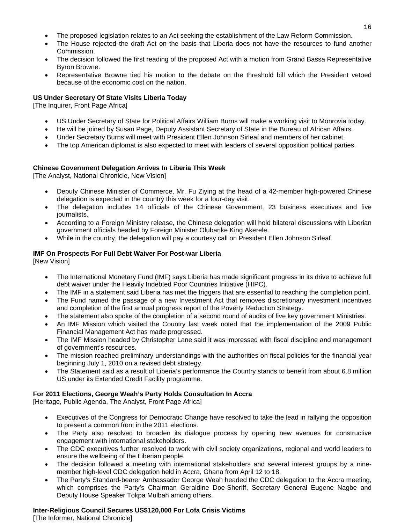- The proposed legislation relates to an Act seeking the establishment of the Law Reform Commission.
- The House rejected the draft Act on the basis that Liberia does not have the resources to fund another Commission.
- The decision followed the first reading of the proposed Act with a motion from Grand Bassa Representative Byron Browne.
- Representative Browne tied his motion to the debate on the threshold bill which the President vetoed because of the economic cost on the nation.

#### **US Under Secretary Of State Visits Liberia Today**

[The Inquirer, Front Page Africa]

- US Under Secretary of State for Political Affairs William Burns will make a working visit to Monrovia today.
- He will be joined by Susan Page, Deputy Assistant Secretary of State in the Bureau of African Affairs.
- Under Secretary Burns will meet with President Ellen Johnson Sirleaf and members of her cabinet.
- The top American diplomat is also expected to meet with leaders of several opposition political parties.

#### **Chinese Government Delegation Arrives In Liberia This Week**

[The Analyst, National Chronicle, New Vision]

- Deputy Chinese Minister of Commerce, Mr. Fu Ziying at the head of a 42-member high-powered Chinese delegation is expected in the country this week for a four-day visit.
- The delegation includes 14 officials of the Chinese Government, 23 business executives and five journalists.
- According to a Foreign Ministry release, the Chinese delegation will hold bilateral discussions with Liberian government officials headed by Foreign Minister Olubanke King Akerele.
- While in the country, the delegation will pay a courtesy call on President Ellen Johnson Sirleaf.

#### **IMF On Prospects For Full Debt Waiver For Post-war Liberia**

[New Vision]

- The International Monetary Fund (IMF) says Liberia has made significant progress in its drive to achieve full debt waiver under the Heavily Indebted Poor Countries Initiative (HIPC).
- The IMF in a statement said Liberia has met the triggers that are essential to reaching the completion point.
- The Fund named the passage of a new Investment Act that removes discretionary investment incentives and completion of the first annual progress report of the Poverty Reduction Strategy.
- The statement also spoke of the completion of a second round of audits of five key government Ministries.
- An IMF Mission which visited the Country last week noted that the implementation of the 2009 Public Financial Management Act has made progressed.
- The IMF Mission headed by Christopher Lane said it was impressed with fiscal discipline and management of government's resources.
- The mission reached preliminary understandings with the authorities on fiscal policies for the financial year beginning July 1, 2010 on a revised debt strategy.
- The Statement said as a result of Liberia's performance the Country stands to benefit from about 6.8 million US under its Extended Credit Facility programme.

#### **For 2011 Elections, George Weah's Party Holds Consultation In Accra**

[Heritage, Public Agenda, The Analyst, Front Page Africa]

- Executives of the Congress for Democratic Change have resolved to take the lead in rallying the opposition to present a common front in the 2011 elections.
- The Party also resolved to broaden its dialogue process by opening new avenues for constructive engagement with international stakeholders.
- The CDC executives further resolved to work with civil society organizations, regional and world leaders to ensure the wellbeing of the Liberian people.
- The decision followed a meeting with international stakeholders and several interest groups by a ninemember high-level CDC delegation held in Accra, Ghana from April 12 to 18.
- The Party's Standard-bearer Ambassador George Weah headed the CDC delegation to the Accra meeting, which comprises the Party's Chairman Geraldine Doe-Sheriff, Secretary General Eugene Nagbe and Deputy House Speaker Tokpa Mulbah among others.

#### **Inter-Religious Council Secures US\$120,000 For Lofa Crisis Victims**

[The Informer, National Chronicle]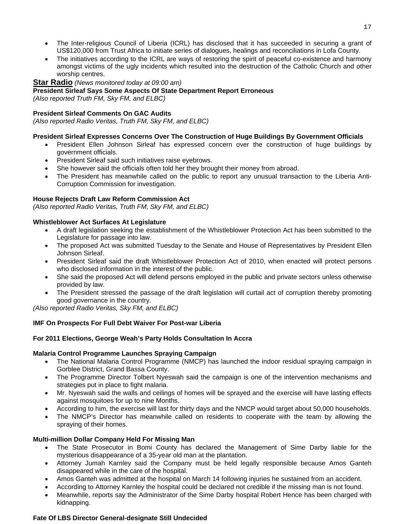- The Inter-religious Council of Liberia (ICRL) has disclosed that it has succeeded in securing a grant of US\$120,000 from Trust Africa to initiate series of dialogues, healings and reconciliations in Lofa County.
- The initiatives according to the ICRL are ways of restoring the spirit of peaceful co-existence and harmony amongst victims of the ugly incidents which resulted into the destruction of the Catholic Church and other worship centres.

#### **Star Radio** *(News monitored today at 09:00 am)*

#### **President Sirleaf Says Some Aspects Of State Department Report Erroneous**

*(Also reported Truth FM, Sky FM, and ELBC)*

#### **President Sirleaf Comments On GAC Audits**

*(Also reported Radio Veritas, Truth FM, Sky FM, and ELBC)*

#### **President Sirleaf Expresses Concerns Over The Construction of Huge Buildings By Government Officials**

- President Ellen Johnson Sirleaf has expressed concern over the construction of huge buildings by government officials.
- President Sirleaf said such initiatives raise eyebrows.
- She however said the officials often told her they brought their money from abroad.
- The President has meanwhile called on the public to report any unusual transaction to the Liberia Anti-Corruption Commission for investigation.

#### **House Rejects Draft Law Reform Commission Act**

*(Also reported Radio Veritas, Truth FM, Sky FM, and ELBC)*

#### **Whistleblower Act Surfaces At Legislature**

- A draft legislation seeking the establishment of the Whistleblower Protection Act has been submitted to the Legislature for passage into law.
- The proposed Act was submitted Tuesday to the Senate and House of Representatives by President Ellen Johnson Sirleaf.
- President Sirleaf said the draft Whistleblower Protection Act of 2010, when enacted will protect persons who disclosed information in the interest of the public.
- She said the proposed Act will defend persons employed in the public and private sectors unless otherwise provided by law.
- The President stressed the passage of the draft legislation will curtail act of corruption thereby promoting good governance in the country.

*(Also reported Radio Veritas, Sky FM, and ELBC)*

#### **IMF On Prospects For Full Debt Waiver For Post-war Liberia**

#### **For 2011 Elections, George Weah's Party Holds Consultation In Accra**

#### **Malaria Control Programme Launches Spraying Campaign**

- The National Malaria Control Programme (NMCP) has launched the indoor residual spraying campaign in Gorblee District, Grand Bassa County.
- The Programme Director Tolbert Nyeswah said the campaign is one of the intervention mechanisms and strategies put in place to fight malaria.
- Mr. Nyeswah said the walls and ceilings of homes will be sprayed and the exercise will have lasting effects against mosquitoes for up to nine Months.
- According to him, the exercise will last for thirty days and the NMCP would target about 50,000 households.
- The NMCP's Director has meanwhile called on residents to cooperate with the team by allowing the spraying of their homes.

#### **Multi-million Dollar Company Held For Missing Man**

- The State Prosecutor in Bomi County has declared the Management of Sime Darby liable for the mysterious disappearance of a 35-year old man at the plantation.
- Attorney Jumah Karnley said the Company must be held legally responsible because Amos Ganteh disappeared while in the care of the hospital.
- Amos Ganteh was admitted at the hospital on March 14 following injuries he sustained from an accident.
- According to Attorney Karnley the hospital could be declared not credible if the missing man is not found.
- Meanwhile, reports say the Administrator of the Sime Darby hospital Robert Hence has been charged with kidnapping.

#### **Fate Of LBS Director General-designate Still Undecided**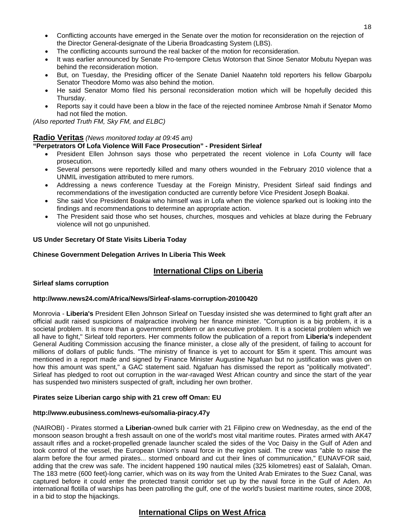- Conflicting accounts have emerged in the Senate over the motion for reconsideration on the rejection of the Director General-designate of the Liberia Broadcasting System (LBS).
- The conflicting accounts surround the real backer of the motion for reconsideration.
- It was earlier announced by Senate Pro-tempore Cletus Wotorson that Sinoe Senator Mobutu Nyepan was behind the reconsideration motion.
- But, on Tuesday, the Presiding officer of the Senate Daniel Naatehn told reporters his fellow Gbarpolu Senator Theodore Momo was also behind the motion.
- He said Senator Momo filed his personal reconsideration motion which will be hopefully decided this Thursday.
- Reports say it could have been a blow in the face of the rejected nominee Ambrose Nmah if Senator Momo had not filed the motion.

*(Also reported Truth FM, Sky FM, and ELBC)*

#### **Radio Veritas** *(News monitored today at 09:45 am)*

#### **"Perpetrators Of Lofa Violence Will Face Prosecution" - President Sirleaf**

- President Ellen Johnson says those who perpetrated the recent violence in Lofa County will face prosecution.
- Several persons were reportedly killed and many others wounded in the February 2010 violence that a UNMIL investigation attributed to mere rumors.
- Addressing a news conference Tuesday at the Foreign Ministry, President Sirleaf said findings and recommendations of the investigation conducted are currently before Vice President Joseph Boakai.
- She said Vice President Boakai who himself was in Lofa when the violence sparked out is looking into the findings and recommendations to determine an appropriate action.
- The President said those who set houses, churches, mosques and vehicles at blaze during the February violence will not go unpunished.

#### **US Under Secretary Of State Visits Liberia Today**

#### **Chinese Government Delegation Arrives In Liberia This Week**

## **International Clips on Liberia**

#### **Sirleaf slams corruption**

#### **http://www.news24.com/Africa/News/Sirleaf-slams-corruption-20100420**

Monrovia - **Liberia's** President Ellen Johnson Sirleaf on Tuesday insisted she was determined to fight graft after an official audit raised suspicions of malpractice involving her finance minister. "Corruption is a big problem, it is a societal problem. It is more than a government problem or an executive problem. It is a societal problem which we all have to fight," Sirleaf told reporters. Her comments follow the publication of a report from **Liberia's** independent General Auditing Commission accusing the finance minister, a close ally of the president, of failing to account for millions of dollars of public funds. "The ministry of finance is yet to account for \$5m it spent. This amount was mentioned in a report made and signed by Finance Minister Augustine Ngafuan but no justification was given on how this amount was spent," a GAC statement said. Ngafuan has dismissed the report as "politically motivated". Sirleaf has pledged to root out corruption in the war-ravaged West African country and since the start of the year has suspended two ministers suspected of graft, including her own brother.

#### **Pirates seize Liberian cargo ship with 21 crew off Oman: EU**

#### **http://www.eubusiness.com/news-eu/somalia-piracy.47y**

(NAIROBI) - Pirates stormed a **Liberian**-owned bulk carrier with 21 Filipino crew on Wednesday, as the end of the monsoon season brought a fresh assault on one of the world's most vital maritime routes. Pirates armed with AK47 assault rifles and a rocket-propelled grenade launcher scaled the sides of the Voc Daisy in the Gulf of Aden and took control of the vessel, the European Union's naval force in the region said. The crew was "able to raise the alarm before the four armed pirates... stormed onboard and cut their lines of communication," EUNAVFOR said, adding that the crew was safe. The incident happened 190 nautical miles (325 kilometres) east of Salalah, Oman. The 183 metre (600 feet)-long carrier, which was on its way from the United Arab Emirates to the Suez Canal, was captured before it could enter the protected transit corridor set up by the naval force in the Gulf of Aden. An international flotilla of warships has been patrolling the gulf, one of the world's busiest maritime routes, since 2008, in a bid to stop the hijackings.

## **International Clips on West Africa**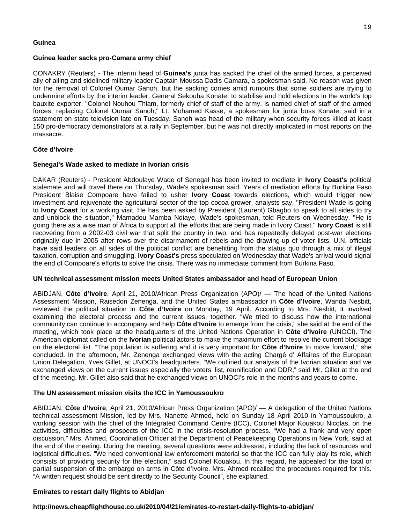#### **Guinea**

#### **Guinea leader sacks pro-Camara army chief**

CONAKRY (Reuters) - The interim head of **Guinea's** junta has sacked the chief of the armed forces, a perceived ally of ailing and sidelined military leader Captain Moussa Dadis Camara, a spokesman said. No reason was given for the removal of Colonel Oumar Sanoh, but the sacking comes amid rumours that some soldiers are trying to undermine efforts by the interim leader, General Sekouba Konate, to stabilise and hold elections in the world's top bauxite exporter. "Colonel Nouhou Thiam, formerly chief of staff of the army, is named chief of staff of the armed forces, replacing Colonel Oumar Sanoh," Lt. Mohamed Kasse, a spokesman for junta boss Konate, said in a statement on state television late on Tuesday. Sanoh was head of the military when security forces killed at least 150 pro-democracy demonstrators at a rally in September, but he was not directly implicated in most reports on the massacre.

#### **Côte d'Ivoire**

#### **Senegal's Wade asked to mediate in Ivorian crisis**

DAKAR (Reuters) - President Abdoulaye Wade of Senegal has been invited to mediate in **Ivory Coast's** political stalemate and will travel there on Thursday, Wade's spokesman said. Years of mediation efforts by Burkina Faso President Blaise Compoare have failed to usher **Ivory Coast** towards elections, which would trigger new investment and rejuvenate the agricultural sector of the top cocoa grower, analysts say. "President Wade is going to **Ivory Coast** for a working visit. He has been asked by President (Laurent) Gbagbo to speak to all sides to try and unblock the situation," Mamadou Mamba Ndiaye, Wade's spokesman, told Reuters on Wednesday. "He is going there as a wise man of Africa to support all the efforts that are being made in Ivory Coast." **Ivory Coast** is still recovering from a 2002-03 civil war that split the country in two, and has repeatedly delayed post-war elections originally due in 2005 after rows over the disarmament of rebels and the drawing-up of voter lists. U.N. officials have said leaders on all sides of the political conflict are benefitting from the status quo through a mix of illegal taxation, corruption and smuggling. **Ivory Coast's** press speculated on Wednesday that Wade's arrival would signal the end of Compoare's efforts to solve the crisis. There was no immediate comment from Burkina Faso.

#### **UN technical assessment mission meets United States ambassador and head of European Union**

ABIDJAN, **Côte d'Ivoire**, April 21, 2010/African Press Organization (APO)/ — The head of the United Nations Assessment Mission, Raisedon Zenenga, and the United States ambassador in **Côte d'Ivoire**, Wanda Nesbitt, reviewed the political situation in **Côte d'Ivoire** on Monday, 19 April. According to Mrs. Nesbitt, it involved examining the electoral process and the current issues, together. "We tried to discuss how the international community can continue to accompany and help **Côte d'Ivoire** to emerge from the crisis," she said at the end of the meeting, which took place at the headquarters of the United Nations Operation in **Côte d'Ivoire** (UNOCI). The American diplomat called on the **Ivorian** political actors to make the maximum effort to resolve the current blockage on the electoral list. "The population is suffering and it is very important for **Côte d'Ivoire** to move forward," she concluded. In the afternoon, Mr. Zenenga exchanged views with the acting Chargé d' Affaires of the European Union Delegation, Yves Gillet, at UNOCI's headquarters. "We outlined our analysis of the Ivorian situation and we exchanged views on the current issues especially the voters' list, reunification and DDR," said Mr. Gillet at the end of the meeting. Mr. Gillet also said that he exchanged views on UNOCI's role in the months and years to come.

#### **The UN assessment mission visits the ICC in Yamoussoukro**

ABIDJAN, **Côte d'Ivoire**, April 21, 2010/African Press Organization (APO)/ — A delegation of the United Nations technical assessment Mission, led by Mrs. Nanette Ahmed, held on Sunday 18 April 2010 in Yamoussoukro, a working session with the chief of the Integrated Command Centre (ICC), Colonel Major Kouakou Nicolas, on the activities, difficulties and prospects of the ICC in the crisis-resolution process. "We had a frank and very open discussion," Mrs. Ahmed, Coordination Officer at the Department of Peacekeeping Operations in New York, said at the end of the meeting. During the meeting, several questions were addressed, including the lack of resources and logistical difficulties. "We need conventional law enforcement material so that the ICC can fully play its role, which consists of providing security for the election," said Colonel Kouakou. In this regard, he appealed for the total or partial suspension of the embargo on arms in Côte d'Ivoire. Mrs. Ahmed recalled the procedures required for this. "A written request should be sent directly to the Security Council", she explained.

#### **Emirates to restart daily flights to Abidjan**

#### **http://news.cheapflighthouse.co.uk/2010/04/21/emirates-to-restart-daily-flights-to-abidjan/**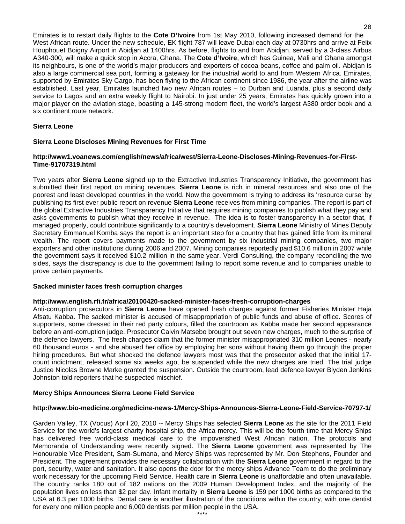Emirates is to restart daily flights to the **Cote D'Ivoire** from 1st May 2010, following increased demand for the West African route. Under the new schedule, EK flight 787 will leave Dubai each day at 0730hrs and arrive at Felix Houphouet Boigny Airport in Abidjan at 1400hrs. As before, flights to and from Abidjan, served by a 3-class Airbus A340-300, will make a quick stop in Accra, Ghana. The **Cote d'Ivoire**, which has Guinea, Mali and Ghana amongst its neighbours, is one of the world's major producers and exporters of cocoa beans, coffee and palm oil. Abidjan is also a large commercial sea port, forming a gateway for the industrial world to and from Western Africa. Emirates, supported by Emirates Sky Cargo, has been flying to the African continent since 1986, the year after the airline was established. Last year, Emirates launched two new African routes – to Durban and Luanda, plus a second daily service to Lagos and an extra weekly flight to Nairobi. In just under 25 years, Emirates has quickly grown into a major player on the aviation stage, boasting a 145-strong modern fleet, the world's largest A380 order book and a six continent route network.

#### **Sierra Leone**

#### **Sierra Leone Discloses Mining Revenues for First Time**

#### **http://www1.voanews.com/english/news/africa/west/Sierra-Leone-Discloses-Mining-Revenues-for-First-Time-91707319.html**

Two years after **Sierra Leone** signed up to the Extractive Industries Transparency Initiative, the government has submitted their first report on mining revenues. **Sierra Leone** is rich in mineral resources and also one of the poorest and least developed countries in the world. Now the government is trying to address its 'resource curse' by publishing its first ever public report on revenue **Sierra Leone** receives from mining companies. The report is part of the global Extractive Industries Transparency Initiative that requires mining companies to publish what they pay and asks governments to publish what they receive in revenue. The idea is to foster transparency in a sector that, if managed properly, could contribute significantly to a country's development. **Sierra Leone** Ministry of Mines Deputy Secretary Emmanuel Komba says the report is an important step for a country that has gained little from its mineral wealth. The report covers payments made to the government by six industrial mining companies, two major exporters and other institutions during 2006 and 2007. Mining companies reportedly paid \$10.6 million in 2007 while the government says it received \$10.2 million in the same year. Verdi Consulting, the company reconciling the two sides, says the discrepancy is due to the government failing to report some revenue and to companies unable to prove certain payments.

#### **Sacked minister faces fresh corruption charges**

#### **http://www.english.rfi.fr/africa/20100420-sacked-minister-faces-fresh-corruption-charges**

Anti-corruption prosecutors in **Sierra Leone** have opened fresh charges against former Fisheries Minister Haja Afsatu Kabba. The sacked minister is accused of misappropriation of public funds and abuse of office. Scores of supporters, some dressed in their red party colours, filled the courtroom as Kabba made her second appearance before an anti-corruption judge. Prosecutor Calvin Matsebo brought out seven new charges, much to the surprise of the defence lawyers. The fresh charges claim that the former minister misappropriated 310 million Leones - nearly 60 thousand euros - and she abused her office by employing her sons without having them go through the proper hiring procedures. But what shocked the defence lawyers most was that the prosecutor asked that the initial 17 count indictment, released some six weeks ago, be suspended while the new charges are tried. The trial judge Justice Nicolas Browne Marke granted the suspension. Outside the courtroom, lead defence lawyer Blyden Jenkins Johnston told reporters that he suspected mischief.

#### **Mercy Ships Announces Sierra Leone Field Service**

#### **<http://www.bio-medicine.org/medicine-news-1/Mercy-Ships-Announces-Sierra-Leone-Field-Service-70797-1/>**

Garden Valley, TX (Vocus) April 20, 2010 -- Mercy Ships has selected **Sierra Leone** as the site for the 2011 Field Service for the world's largest charity hospital ship, the Africa mercy. This will be the fourth time that Mercy Ships has delivered free world-class medical care to the impoverished West African nation. The protocols and Memoranda of Understanding were recently signed. The **Sierra Leone** government was represented by The Honourable Vice President, Sam-Sumana, and Mercy Ships was represented by Mr. Don Stephens, Founder and President. The agreement provides the necessary collaboration with the **Sierra Leone** government in regard to the port, security, water and sanitation. It also opens the door for the mercy ships Advance Team to do the preliminary work necessary for the upcoming Field Service. Health care in **Sierra Leone** is unaffordable and often unavailable. The country ranks 180 out of 182 nations on the 2009 Human Development Index, and the majority of the population lives on less than \$2 per day. Infant mortality in **Sierra Leone** is 159 per 1000 births as compared to the USA at 6.3 per 1000 births. Dental care is another illustration of the conditions within the country, with one dentist for every one million people and 6,000 dentists per million people in the USA.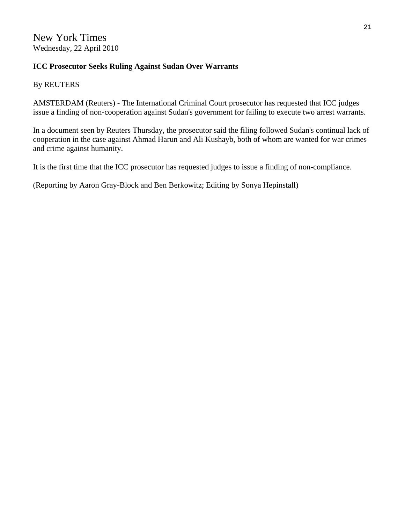# **ICC Prosecutor Seeks Ruling Against Sudan Over Warrants**

By REUTERS

AMSTERDAM (Reuters) - The International Criminal Court prosecutor has requested that ICC judges issue a finding of non-cooperation against Sudan's government for failing to execute two arrest warrants.

In a document seen by Reuters Thursday, the prosecutor said the filing followed Sudan's continual lack of cooperation in the case against Ahmad Harun and Ali Kushayb, both of whom are wanted for war crimes and crime against humanity.

It is the first time that the ICC prosecutor has requested judges to issue a finding of non-compliance.

(Reporting by Aaron Gray-Block and Ben Berkowitz; Editing by Sonya Hepinstall)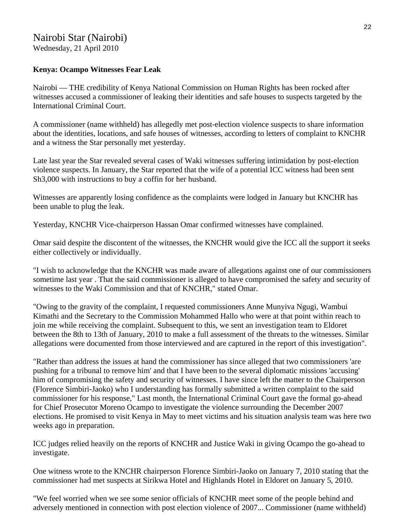# Nairobi Star (Nairobi)

Wednesday, 21 April 2010

# **Kenya: Ocampo Witnesses Fear Leak**

Nairobi — THE credibility of Kenya National Commission on Human Rights has been rocked after witnesses accused a commissioner of leaking their identities and safe houses to suspects targeted by the International Criminal Court.

A commissioner (name withheld) has allegedly met post-election violence suspects to share information about the identities, locations, and safe houses of witnesses, according to letters of complaint to KNCHR and a witness the Star personally met yesterday.

Late last year the Star revealed several cases of Waki witnesses suffering intimidation by post-election violence suspects. In January, the Star reported that the wife of a potential ICC witness had been sent Sh3,000 with instructions to buy a coffin for her husband.

Witnesses are apparently losing confidence as the complaints were lodged in January but KNCHR has been unable to plug the leak.

Yesterday, KNCHR Vice-chairperson Hassan Omar confirmed witnesses have complained.

Omar said despite the discontent of the witnesses, the KNCHR would give the ICC all the support it seeks either collectively or individually.

"I wish to acknowledge that the KNCHR was made aware of allegations against one of our commissioners sometime last year . That the said commissioner is alleged to have compromised the safety and security of witnesses to the Waki Commission and that of KNCHR," stated Omar.

"Owing to the gravity of the complaint, I requested commissioners Anne Munyiva Ngugi, Wambui Kimathi and the Secretary to the Commission Mohammed Hallo who were at that point within reach to join me while receiving the complaint. Subsequent to this, we sent an investigation team to Eldoret between the 8th to 13th of January, 2010 to make a full assessment of the threats to the witnesses. Similar allegations were documented from those interviewed and are captured in the report of this investigation".

"Rather than address the issues at hand the commissioner has since alleged that two commissioners 'are pushing for a tribunal to remove him' and that I have been to the several diplomatic missions 'accusing' him of compromising the safety and security of witnesses. I have since left the matter to the Chairperson (Florence Simbiri-Jaoko) who I understanding has formally submitted a written complaint to the said commissioner for his response," Last month, the International Criminal Court gave the formal go-ahead for Chief Prosecutor Moreno Ocampo to investigate the violence surrounding the December 2007 elections. He promised to visit Kenya in May to meet victims and his situation analysis team was here two weeks ago in preparation.

ICC judges relied heavily on the reports of KNCHR and Justice Waki in giving Ocampo the go-ahead to investigate.

One witness wrote to the KNCHR chairperson Florence Simbiri-Jaoko on January 7, 2010 stating that the commissioner had met suspects at Sirikwa Hotel and Highlands Hotel in Eldoret on January 5, 2010.

"We feel worried when we see some senior officials of KNCHR meet some of the people behind and adversely mentioned in connection with post election violence of 2007... Commissioner (name withheld)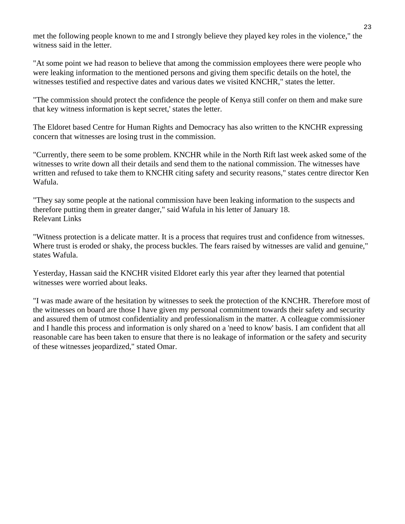met the following people known to me and I strongly believe they played key roles in the violence," the witness said in the letter.

"At some point we had reason to believe that among the commission employees there were people who were leaking information to the mentioned persons and giving them specific details on the hotel, the witnesses testified and respective dates and various dates we visited KNCHR," states the letter.

"The commission should protect the confidence the people of Kenya still confer on them and make sure that key witness information is kept secret,' states the letter.

The Eldoret based Centre for Human Rights and Democracy has also written to the KNCHR expressing concern that witnesses are losing trust in the commission.

"Currently, there seem to be some problem. KNCHR while in the North Rift last week asked some of the witnesses to write down all their details and send them to the national commission. The witnesses have written and refused to take them to KNCHR citing safety and security reasons," states centre director Ken Wafula.

"They say some people at the national commission have been leaking information to the suspects and therefore putting them in greater danger," said Wafula in his letter of January 18. Relevant Links

"Witness protection is a delicate matter. It is a process that requires trust and confidence from witnesses. Where trust is eroded or shaky, the process buckles. The fears raised by witnesses are valid and genuine," states Wafula.

Yesterday, Hassan said the KNCHR visited Eldoret early this year after they learned that potential witnesses were worried about leaks.

"I was made aware of the hesitation by witnesses to seek the protection of the KNCHR. Therefore most of the witnesses on board are those I have given my personal commitment towards their safety and security and assured them of utmost confidentiality and professionalism in the matter. A colleague commissioner and I handle this process and information is only shared on a 'need to know' basis. I am confident that all reasonable care has been taken to ensure that there is no leakage of information or the safety and security of these witnesses jeopardized," stated Omar.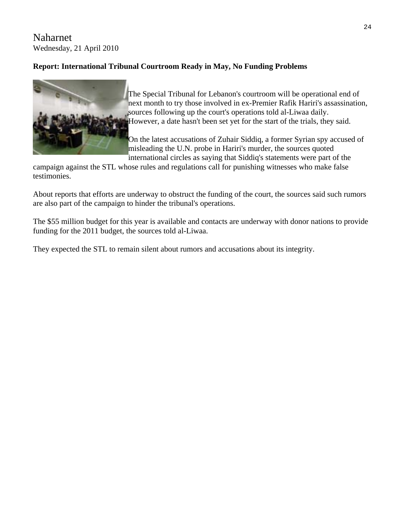# Naharnet Wednesday, 21 April 2010

# **Report: International Tribunal Courtroom Ready in May, No Funding Problems**



The Special Tribunal for Lebanon's courtroom will be operational end of next month to try those involved in ex-Premier Rafik Hariri's assassination, sources following up the court's operations told al-Liwaa daily. However, a date hasn't been set yet for the start of the trials, they said.

On the latest accusations of Zuhair Siddiq, a former Syrian spy accused of misleading the U.N. probe in Hariri's murder, the sources quoted international circles as saying that Siddiq's statements were part of the

campaign against the STL whose rules and regulations call for punishing witnesses who make false testimonies.

About reports that efforts are underway to obstruct the funding of the court, the sources said such rumors are also part of the campaign to hinder the tribunal's operations.

The \$55 million budget for this year is available and contacts are underway with donor nations to provide funding for the 2011 budget, the sources told al-Liwaa.

They expected the STL to remain silent about rumors and accusations about its integrity.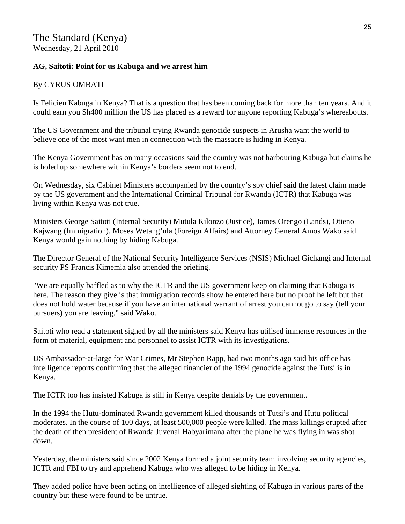# **AG, Saitoti: Point for us Kabuga and we arrest him**

# By CYRUS OMBATI

Is Felicien Kabuga in Kenya? That is a question that has been coming back for more than ten years. And it could earn you Sh400 million the US has placed as a reward for anyone reporting Kabuga's whereabouts.

The US Government and the tribunal trying Rwanda genocide suspects in Arusha want the world to believe one of the most want men in connection with the massacre is hiding in Kenya.

The Kenya Government has on many occasions said the country was not harbouring Kabuga but claims he is holed up somewhere within Kenya's borders seem not to end.

On Wednesday, six Cabinet Ministers accompanied by the country's spy chief said the latest claim made by the US government and the International Criminal Tribunal for Rwanda (ICTR) that Kabuga was living within Kenya was not true.

Ministers George Saitoti (Internal Security) Mutula Kilonzo (Justice), James Orengo (Lands), Otieno Kajwang (Immigration), Moses Wetang'ula (Foreign Affairs) and Attorney General Amos Wako said Kenya would gain nothing by hiding Kabuga.

The Director General of the National Security Intelligence Services (NSIS) Michael Gichangi and Internal security PS Francis Kimemia also attended the briefing.

"We are equally baffled as to why the ICTR and the US government keep on claiming that Kabuga is here. The reason they give is that immigration records show he entered here but no proof he left but that does not hold water because if you have an international warrant of arrest you cannot go to say (tell your pursuers) you are leaving," said Wako.

Saitoti who read a statement signed by all the ministers said Kenya has utilised immense resources in the form of material, equipment and personnel to assist ICTR with its investigations.

US Ambassador-at-large for War Crimes, Mr Stephen Rapp, had two months ago said his office has intelligence reports confirming that the alleged financier of the 1994 genocide against the Tutsi is in Kenya.

The ICTR too has insisted Kabuga is still in Kenya despite denials by the government.

In the 1994 the Hutu-dominated Rwanda government killed thousands of Tutsi's and Hutu political moderates. In the course of 100 days, at least 500,000 people were killed. The mass killings erupted after the death of then president of Rwanda Juvenal Habyarimana after the plane he was flying in was shot down.

Yesterday, the ministers said since 2002 Kenya formed a joint security team involving security agencies, ICTR and FBI to try and apprehend Kabuga who was alleged to be hiding in Kenya.

They added police have been acting on intelligence of alleged sighting of Kabuga in various parts of the country but these were found to be untrue.